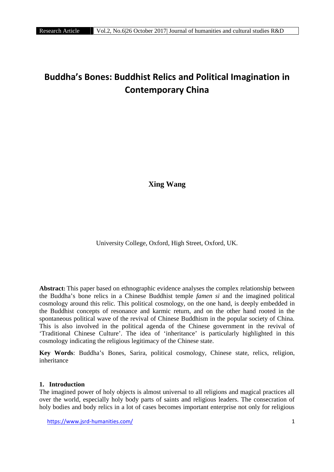# **Buddha's Bones: Buddhist Relics and Political Imagination in Contemporary China**

**Xing Wang**

University College, Oxford, High Street, Oxford, UK.

**Abstract:** This paper based on ethnographic evidence analyses the complex relationship between the Buddha's bone relics in a Chinese Buddhist temple *famen si* and the imagined political cosmology around this relic. This political cosmology, on the one hand, is deeply embedded in the Buddhist concepts of resonance and karmic return, and on the other hand rooted in the spontaneous political wave of the revival of Chinese Buddhism in the popular society of China. This is also involved in the political agenda of the Chinese government in the revival of 'Traditional Chinese Culture'. The idea of 'inheritance' is particularly highlighted in this cosmology indicating the religious legitimacy of the Chinese state.

**Key Words**: Buddha's Bones, Sarira, political cosmology, Chinese state, relics, religion, inheritance

# **1. Introduction**

The imagined power of holy objects is almost universal to all religions and magical practices all over the world, especially holy body parts of saints and religious leaders. The consecration of holy bodies and body relics in a lot of cases becomes important enterprise not only for religious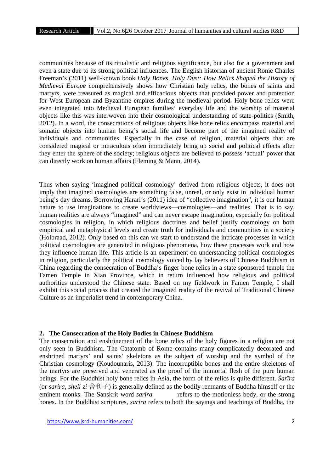communities because of its ritualistic and religious significance, but also for a government and even a state due to its strong political influences. The English historian of ancient Rome Charles Freeman's (2011) well-known book *Holy Bones, Holy Dust: How Relics Shaped the History of Medieval Europe* comprehensively shows how Christian holy relics, the bones of saints and martyrs, were treasured as magical and efficacious objects that provided power and protection for West European and Byzantine empires during the medieval period. Holy bone relics were even integrated into Medieval European families' everyday life and the worship of material objects like this was interwoven into their cosmological understanding of state-politics (Smith, 2012). In a word, the consecrations of religious objects like bone relics encompass material and somatic objects into human being's social life and become part of the imagined reality of individuals and communities. Especially in the case of religion, material objects that are considered magical or miraculous often immediately bring up social and political effects after they enter the sphere of the society; religious objects are believed to possess 'actual' power that can directly work on human affairs (Fleming & Mann, 2014).

Thus when saying 'imagined political cosmology' derived from religious objects, it does not imply that imagined cosmologies are something false, unreal, or only exist in individual human being's day dreams. Borrowing Harari's (2011) idea of "collective imagination", it is our human nature to use imaginations to create worldviews—cosmologies—and realities. That is to say, human realities are always "imagined" and can never escape imagination, especially for political cosmologies in religion, in which religious doctrines and belief justify cosmology on both empirical and metaphysical levels and create truth for individuals and communities in a society (Holbraad, 2012). Only based on this can we start to understand the intricate processes in which political cosmologies are generated in religious phenomena, how these processes work and how they influence human life. This article is an experiment on understanding political cosmologies in religion, particularly the political cosmology voiced by lay believers of Chinese Buddhism in China regarding the consecration of Buddha's finger bone relics in a state sponsored temple the Famen Temple in Xian Province, which in return influenced how religious and political authorities understood the Chinese state. Based on my fieldwork in Famen Temple, I shall exhibit this social process that created the imagined reality of the revival of Traditional Chinese Culture as an imperialist trend in contemporary China.

#### **2. The Consecration of the Holy Bodies in Chinese Buddhism**

The consecration and enshrinement of the bone relics of the holy figures in a religion are not only seen in Buddhism. The Catatomb of Rome contains many complicatedly decorated and enshrined martyrs' and saints' skeletons as the subject of worship and the symbol of the Christian cosmology (Koudounaris, 2013). The incorruptible bones and the entire skeletons of the martyrs are preserved and venerated as the proof of the immortal flesh of the pure human beings. For the Buddhist holy bone relics in Asia, the form of the relics is quite different. *ar ra* (or *sarira*, *sheli zi* 舍利子) is generally defined as the bodily remnants of Buddha himself or the eminent monks. The Sanskrit word *sarira* refers to the motionless body, or the strong bones. In the Buddhist scriptures, *sarira* refers to both the sayings and teachings of Buddha, the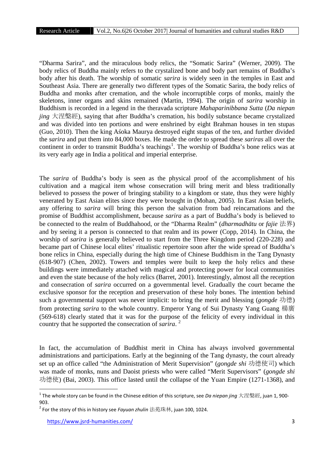"Dharma Sarira", and the miraculous body relics, the "Somatic Sarira" (Werner, 2009). The body relics of Buddha mainly refers to the crystalized bone and body part remains of Buddha's body after his death. The worship of somatic *sarira* is widely seen in the temples in East and Southeast Asia. There are generally two different types of the Somatic Sarira, the body relics of Buddha and monks after cremation, and the whole incorruptible corps of monks, mainly the skeletons, inner organs and skins remained (Martin, 1994). The origin of *sarira* worship in Buddhism is recorded in a legend in the theravada scripture *Mahaparinibbana Sutta* (*Da niepan jing* 大涅槃經), saying that after Buddha's cremation, his bodily substance became crystalized and was divided into ten portions and were enshrined by eight Brahman houses in ten stupas (Guo, 2010). Then the king A oka Maurya destroyed eight stupas of the ten, and further divided the *sarira* and put them into 84,000 boxes. He made the order to spread these *sariras* all over the continent in order to transmit Buddha's teachings<sup>1</sup>. The worship of Buddha's bone relics was at its very early age in India a political and imperial enterprise.

The *sarira* of Buddha's body is seen as the physical proof of the accomplishment of his cultivation and a magical item whose consecration will bring merit and bless traditionally believed to possess the power of bringing stability to a kingdom or state, thus they were highly venerated by East Asian elites since they were brought in (Mohan, 2005). In East Asian beliefs, any offering to *sarira* will bring this person the salvation from bad reincarnations and the promise of Buddhist accomplishment, because *sarira* as a part of Buddha's body is believed to be connected to the realm of Buddhahood, or the "Dharma Realm" (*dharmadh tu* or *fajie* 法界) and by seeing it a person is connected to that realm and its power (Copp, 2014). In China, the worship of *sarira* is generally believed to start from the Three Kingdom period (220-228) and became part of Chinese local elites' ritualistic repertoire soon after the wide spread of Buddha's bone relics in China, especially during the high time of Chinese Buddhism in the Tang Dynasty (618-907) (Chen, 2002). Towers and temples were built to keep the holy relics and these buildings were immediately attached with magical and protecting power for local communities and even the state because of the holy relics (Barret, 2001). Interestingly, almost all the reception and consecration of *sarira* occurred on a governmental level. Gradually the court became the exclusive sponsor for the reception and preservation of these holy bones. The intention behind such a governmental support was never implicit: to bring the merit and blessing (*gongde* 功德) from protecting *sarira* to the whole country. Emperor Yang of Sui Dynasty Yang Guang 楊廣 (569-618) clearly stated that it was for the purpose of the felicity of every individual in this country that he supported the consecration of *sarira*. <sup>2</sup>

In fact, the accumulation of Buddhist merit in China has always involved governmental administrations and participations. Early at the beginning of the Tang dynasty, the court already set up an office called "the Administration of Merit Supervision" (*gongde shi* 功德使司) which was made of monks, nuns and Daoist priests who were called "Merit Supervisors" (*gongde shi* 功德使) (Bai, 2003). This office lasted until the collapse of the Yuan Empire (1271-1368), and

<sup>1</sup> The whole story can be found in the Chinese edition of this scripture, see *Da niepan jing* 大涅槃經, juan 1, 900- 903.

<sup>2</sup> For the story of this in history see *Fayuan zhulin* 法苑珠林, juan 100, 1024.

https://www.jsrd-humanities.com/ 3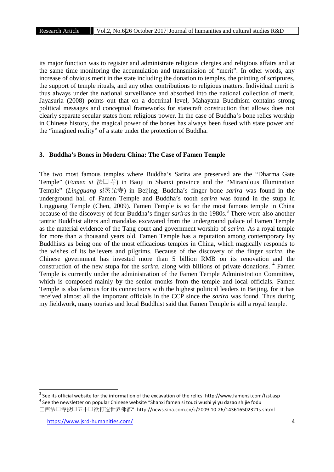its major function was to register and administrate religious clergies and religious affairs and at the same time monitoring the accumulation and transmission of "merit". In other words, any increase of obvious merit in the state including the donation to temples, the printing of scriptures, the support of temple rituals, and any other contributions to religious matters. Individual merit is thus always under the national surveillance and absorbed into the national collection of merit. Jayasuria (2008) points out that on a doctrinal level, Mahayana Buddhism contains strong political messages and conceptual frameworks for statecraft construction that allows does not clearly separate secular states from religious power. In the case of Buddha's bone relics worship in Chinese history, the magical power of the bones has always been fused with state power and the "imagined reality" of a state under the protection of Buddha.

### **3. Buddha's Bones in Modern China: The Case of Famen Temple**

The two most famous temples where Buddha's Sarira are preserved are the "Dharma Gate Temple" (*Famen si* 法门寺) in Baoji in Shanxi province and the "Miraculous Illumination Temple" (*Lingguang si*灵光寺) in Beijing; Buddha's finger bone *sarira* was found in the underground hall of Famen Temple and Buddha's tooth *sarira* was found in the stupa in Lingguang Temple (Chen, 2009). Famen Temple is so far the most famous temple in China because of the discovery of four Buddha's finger *sariras* in the 1980s.<sup>3</sup> There were also another tantric Buddhist alters and mandalas excavated from the underground palace of Famen Temple as the material evidence of the Tang court and government worship of *sarira*. As a royal temple for more than a thousand years old, Famen Temple has a reputation among contemporary lay Buddhists as being one of the most efficacious temples in China, which magically responds to the wishes of its believers and pilgrims. Because of the discovery of the finger *sarira*, the Chinese government has invested more than 5 billion RMB on its renovation and the construction of the new stupa for the *sarira*, along with billions of private donations. <sup>4</sup> Famen Temple is currently under the administration of the Famen Temple Administration Committee, which is composed mainly by the senior monks from the temple and local officials. Famen Temple is also famous for its connections with the highest political leaders in Beijing, for it has received almost all the important officials in the CCP since the *sarira* was found. Thus during my fieldwork, many tourists and local Buddhist said that Famen Temple is still a royal temple.

 $3$  See its official website for the information of the excavation of the relics: http://www.famensi.com/fzsl.asp  $4$  See the newsletter on popular Chinese website "Shanxi famen si touzi wushi yi yu dazao shijie fodu

陕西法门寺投资五十亿欲打造世界佛都": http://news.sina.com.cn/c/2009-10-26/143616502321s.shtml

https://www.jsrd-humanities.com/ 4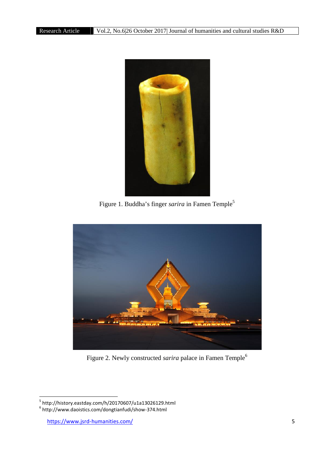

Figure 1. Buddha's finger *sarira* in Famen Temple<sup>5</sup>



Figure 2. Newly constructed *sarira* palace in Famen Temple<sup>6</sup>

 $^5$  http://history.eastday.com/h/20170607/u1a13026129.html<br> $^6$  http://www.daoistics.com/dongtianfudi/show-374.html

https://www.jsrd-humanities.com/ 5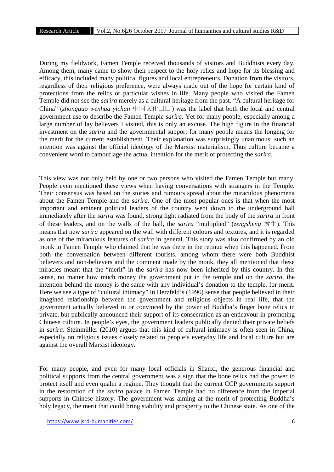During my fieldwork, Famen Temple received thousands of visitors and Buddhists every day. Among them, many came to show their respect to the holy relics and hope for its blessing and efficacy, this included many political figures and local entrepreneurs. Donation from the visitors, regardless of their religious preference, were always made out of the hope for certain kind of protections from the relics or particular wishes in life. Many people who visited the Famen Temple did not see the *sarira* merely as a cultural heritage from the past. "A cultural heritage for China" (*zhongguo wenhua yichan* 中国文化遗产) was the label that both the local and central government use to describe the Famen Temple *sarira*. Yet for many people, especially among a large number of lay believers I visited, this is only an excuse. The high figure in the financial investment on the *sarira* and the governmental support for many people means the longing for the merit for the current establishment. Their explanation was surprisingly unanimous: such an intention was against the official ideology of the Marxist materialism. Thus culture became a convenient word to camouflage the actual intention for the merit of protecting the *sarira*.

This view was not only held by one or two persons who visited the Famen Temple but many. People even mentioned these views when having conversations with strangers in the Temple. Their consensus was based on the stories and rumours spread about the miraculous phenomena about the Famen Temple and the *sarira*. One of the most popular ones is that when the most important and eminent political leaders of the country went down to the underground hall immediately after the *sarira* was found, strong light radiated from the body of the *sarira* in front of these leaders, and on the walls of the hall, the *sarira* "multiplied" (*zengsheng* 增生). This means that new *sarira* appeared on the wall with different colours and textures, and it is regarded as one of the miraculous features of *sarira* in general. This story was also confirmed by an old monk in Famen Temple who claimed that he was there in the retinue when this happened. From both the conversation between different tourists, among whom there were both Buddhist believers and non-believers and the comment made by the monk, they all mentioned that these miracles meant that the "merit" in the *sarira* has now been inherited by this country. In this sense, no matter how much money the government put in the temple and on the *sarira*, the intention behind the money is the same with any individual's donation to the temple, for merit. Here we see a type of "cultural intimacy" in Herzfeld's (1996) sense that people believed in their imagined relationship between the government and religious objects in real life, that the government actually believed in or convinced by the power of Buddha's finger bone relics in private, but publically announced their support of its consecration as an endeavour in promoting Chinese culture. In people's eyes, the government leaders publically denied their private beliefs in *sarira*. Steinmüller (2010) argues that this kind of cultural intimacy is often seen in China, especially on religious issues closely related to people's everyday life and local culture but are against the overall Marxist ideology.

For many people, and even for many local officials in Shanxi, the generous financial and political supports from the central government was a sign that the bone relics had the power to protect itself and even qualm a regime. They thought that the current CCP governments support in the restoration of the *sarira* palace in Famen Temple had no difference from the imperial supports in Chinese history. The government was aiming at the merit of protecting Buddha's holy legacy, the merit that could bring stability and prosperity to the Chinese state. As one of the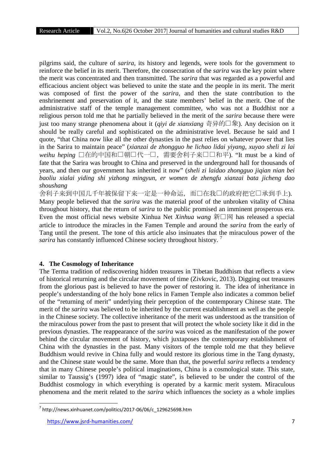pilgrims said, the culture of *sarira*, its history and legends, were tools for the government to reinforce the belief in its merit. Therefore, the consecration of the *sarira* was the key point where the merit was concentrated and then transmitted. The *sarira* that was regarded as a powerful and efficacious ancient object was believed to unite the state and the people in its merit. The merit was composed of first the power of the *sarira*, and then the state contribution to the enshrinement and preservation of it, and the state members' belief in the merit. One of the administrative staff of the temple management committee, who was not a Buddhist nor a religious person told me that he partially believed in the merit of the *sarira* because there were just too many strange phenomena about it (*qiyi de xianxiang* 奇异的□象). Any decision on it should be really careful and sophisticated on the administrative level. Because he said and I quote, "that China now like all the other dynasties in the past relies on whatever power that lies in the Sarira to maintain peace" (*xianzai de zhongguo he lichao lidai yiyang, xuyao sheli zi lai* weihu heping □在的中国和□朝□代一□, 需要舍利子来□□和平). "It must be a kind of fate that the Sarira was brought to China and preserved in the underground hall for thousands of years, and then our government has inherited it now" (*sheli zi laidao zhongguo jiqian nian bei baoliu xialai yiding shi yizhong mingyun, er women de zhengfu xianzai bata jicheng dao shoushang*

舍利子来到中国几千年被保留下来一定是一种命运,而口在我口的政府把它口承到手上). Many people believed that the *sarira* was the material proof of the unbroken vitality of China throughout history, that the return of *sarira* to the public promised an imminent prosperous era. Even the most official news website Xinhua Net *Xinhua wang*  $\widetilde{\mathcal{H}} \square \boxtimes$  has released a special article to introduce the miracles in the Famen Temple and around the *sarira* from the early of Tang until the present. The tone of this article also insinuates that the miraculous power of the *sarira* has constantly influenced Chinese society throughout history.<sup>7</sup>

# **4. The Cosmology of Inheritance**

The Terma tradition of rediscovering hidden treasures in Tibetan Buddhism that reflects a view of historical returning and the circular movement of time (Zivkovic, 2013). Digging out treasures from the glorious past is believed to have the power of restoring it. The idea of inheritance in people's understanding of the holy bone relics in Famen Temple also indicates a common belief of the "returning of merit" underlying their perception of the contemporary Chinese state. The merit of the *sarira* was believed to be inherited by the current establishment as well as the people in the Chinese society. The collective inheritance of the merit was understood as the transition of the miraculous power from the past to present that will protect the whole society like it did in the previous dynasties. The reappearance of the *sarira* was voiced as the manifestation of the power behind the circular movement of history, which juxtaposes the contemporary establishment of China with the dynasties in the past. Many visitors of the temple told me that they believe Buddhism would revive in China fully and would restore its glorious time in the Tang dynasty, and the Chinese state would be the same. More than that, the powerful *sarira* reflects a tendency that in many Chinese people's political imaginations, China is a cosmological state. This state, similar to Taussig's (1997) idea of "magic state", is believed to be under the control of the Buddhist cosmology in which everything is operated by a karmic merit system. Miraculous phenomena and the merit related to the *sarira* which influences the society as a whole implies

 $7$  http://news.xinhuanet.com/politics/2017-06/06/c\_129625698.htm

https://www.jsrd-humanities.com/ 7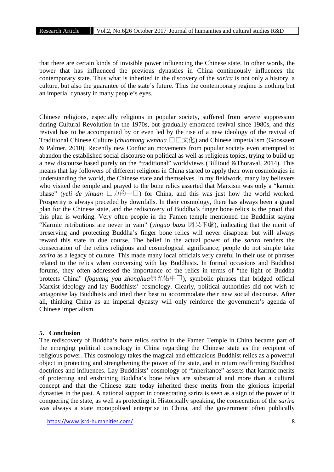that there are certain kinds of invisible power influencing the Chinese state. In other words, the power that has influenced the previous dynasties in China continuously influences the contemporary state. Thus what is inherited in the discovery of the *sarira* is not only a history, a culture, but also the guarantee of the state's future. Thus the contemporary regime is nothing but an imperial dynasty in many people's eyes.

Chinese religions, especially religions in popular society, suffered from severe suppression during Cultural Revolution in the 1970s, but gradually embraced revival since 1980s, and this revival has to be accompanied by or even led by the rise of a new ideology of the revival of Traditional Chinese Culture *(chuantong wenhua* ロロ文化) and Chinese imperialism (Goossaert & Palmer, 2010). Recently new Confucian movements from popular society even attempted to abandon the established social discourse on political as well as religious topics, trying to build up a new discourse based purely on the "traditional" worldviews (Billioud &Thoraval, 2014). This means that lay followers of different religions in China started to apply their own cosmologies in understanding the world, the Chinese state and themselves. In my fieldwork, many lay believers who visited the temple and prayed to the bone relics asserted that Marxism was only a "karmic phase" (*yeli de yihuan*  $\Box \Box \Box$ ) for China, and this was just how the world worked. Prosperity is always preceded by downfalls. In their cosmology, there has always been a grand plan for the Chinese state, and the rediscovery of Buddha's finger bone relics is the proof that this plan is working. Very often people in the Famen temple mentioned the Buddhist saying "Karmic retributions are never in vain" (*yinguo buxu* 因果不虚), indicating that the merit of preserving and protecting Buddha's finger bone relics will never disappear but will always reward this state in due course. The belief in the actual power of the *sarira* renders the consecration of the relics religious and cosmological significance; people do not simple take *sarira* as a legacy of culture. This made many local officials very careful in their use of phrases related to the relics when conversing with lay Buddhists. In formal occasions and Buddhist forums, they often addressed the importance of the relics in terms of "the light of Buddha protects China" (*foguang you zhonghua*佛光佑中口), symbolic phrases that bridged official Marxist ideology and lay Buddhists' cosmology. Clearly, political authorities did not wish to antagonise lay Buddhists and tried their best to accommodate their new social discourse. After all, thinking China as an imperial dynasty will only reinforce the government's agenda of Chinese imperialism.

#### **5. Conclusion**

The rediscovery of Buddha's bone relics *sarira* in the Famen Temple in China became part of the emerging political cosmology in China regarding the Chinese state as the recipient of religious power. This cosmology takes the magical and efficacious Buddhist relics as a powerful object in protecting and strengthening the power of the state, and in return reaffirming Buddhist doctrines and influences. Lay Buddhists' cosmology of "inheritance" asserts that karmic merits of protecting and enshrining Buddha's bone relics are substantial and more than a cultural concept and that the Chinese state today inherited these merits from the glorious imperial dynasties in the past. A national support in consecrating sarira is seen as a sign of the power of it conquering the state, as well as protecting it. Historically speaking, the consecration of the *sarira* was always a state monopolised enterprise in China, and the government often publically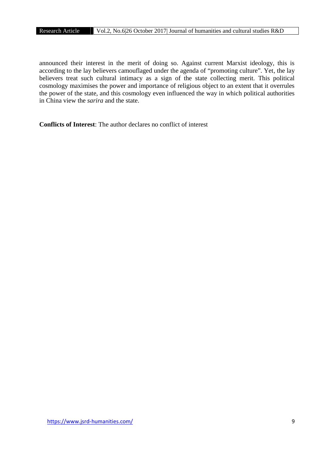announced their interest in the merit of doing so. Against current Marxist ideology, this is according to the lay believers camouflaged under the agenda of "promoting culture". Yet, the lay believers treat such cultural intimacy as a sign of the state collecting merit. This political cosmology maximises the power and importance of religious object to an extent that it overrules the power of the state, and this cosmology even influenced the way in which political authorities in China view the *sarira* and the state.

**Conflicts of Interest**: The author declares no conflict of interest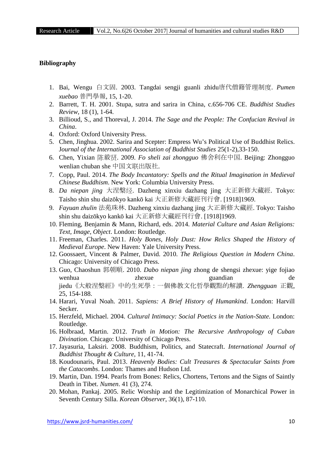#### **Bibliography**

- 1. Bai, Wengu 白文固. 2003. Tangdai sengji guanli zhidu唐代僧籍管理制度. *Pumen xuebao* 普門學報, 15, 1-20.
- 2. Barrett, T. H. 2001. Stupa, sutra and sarira in China, c.656-706 CE. *Buddhist Studies Review*, 18 (1), 1-64.
- 3. Billioud, S., and Thoreval, J. 2014. *The Sage and the People: The Confucian Revival in China*.
- 4. Oxford: Oxford University Press.
- 5. Chen, Jinghua. 2002. Sarira and Scepter: Empress Wu's Political Use of Buddhist Relics. J*ournal of the International Association of Buddhist Studies* 25(1-2),33-150.
- 6. Chen, Yixian 陈毅贤. 2009. *Fo sheli zai zhongguo* 佛舍利在中国. Beijing: Zhongguo wenlian chuban she 中国文联出版社.
- 7. Copp, Paul. 2014. *The Body Incantatory: Spells and the Ritual Imagination in Medieval Chinese Buddhism*. New York: Columbia University Press.
- 8. *Da niepan jing* 大涅槃经. Dazheng xinxiu dazhang jing 大正新修大藏經. Tokyo: Taisho shin shu daiz kyo kank kai 大正新修大藏經刊行會. [1918]1969.
- 9. *Fayuan zhulin* 法苑珠林. Dazheng xinxiu dazhang jing 大正新修大藏經. Tokyo: Taisho shin shu daiz kyo kank kai 大正新修大藏經刊行會. [1918]1969.
- 10. Fleming, Benjamin & Mann, Richard, eds. 2014. *Material Culture and Asian Religions: Text, Image, Object*. London: Routledge.
- 11. Freeman, Charles. 2011. *Holy Bones, Holy Dust: How Relics Shaped the History of Medieval Europe*. New Haven: Yale University Press.
- 12. Goossaert, Vincent & Palmer, David. 2010. *The Religious Question in Modern China*. Chicago: University of Chicago Press.
- 13. Guo, Chaoshun 郭朝順. 2010. *Dabo niepan jing* zhong de shengsi zhexue: yige fojiao wenhua zhexue guandian de jiedu《大般涅槃經》中的生死學:一個佛教文化哲學觀點的解讀. *Zhengguan* 正觀, 25, 154-188.
- 14. Harari, Yuval Noah. 2011. *Sapiens: A Brief History of Humankind*. London: Harvill Secker.
- 15. Herzfeld, Michael. 2004. *Cultural Intimacy: Social Poetics in the Nation-State*. London: Routledge.
- 16. Holbraad, Martin. 2012. *Truth in Motion: The Recursive Anthropology of Cuban Divination*. Chicago: University of Chicago Press.
- 17. Jayasuria, Laksiri. 2008. Buddhism, Politics, and Statecraft. *International Journal of Buddhist Thought & Culture*, 11, 41-74.
- 18. Koudounaris, Paul. 2013. *Heavenly Bodies: Cult Treasures & Spectacular Saints from the Catacombs*. London: Thames and Hudson Ltd.
- 19. Martin, Dan. 1994. Pearls from Bones: Relics, Chortens, Tertons and the Signs of Saintly Death in Tibet. *Numen*. 41 (3), 274.
- 20. Mohan, Pankaj. 2005. Relic Worship and the Legitimization of Monarchical Power in Seventh Century Silla. *Korean Observer*, 36(1), 87-110.